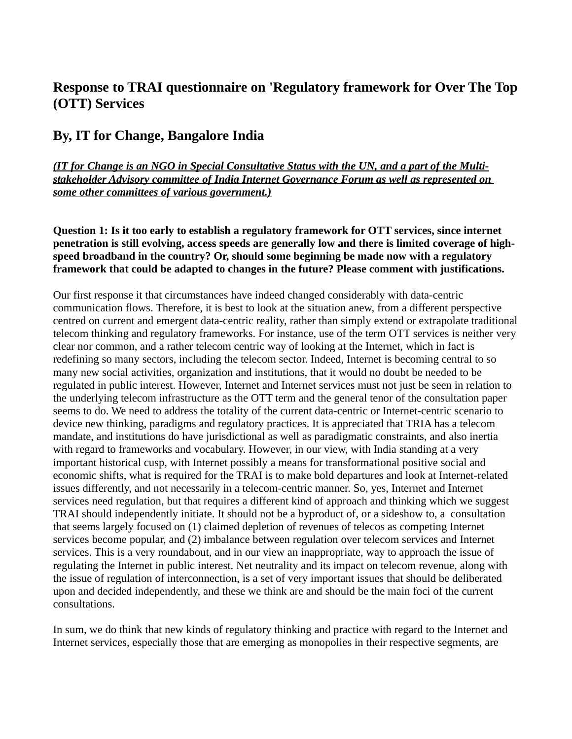# **Response to TRAI questionnaire on 'Regulatory framework for Over The Top (OTT) Services**

# **By, IT for Change, Bangalore India**

*(IT for Change is an NGO in Special Consultative Status with the UN, and a part of the Multistakeholder Advisory committee of India Internet Governance Forum as well as represented on some other committees of various government.)*

**Question 1: Is it too early to establish a regulatory framework for OTT services, since internet penetration is still evolving, access speeds are generally low and there is limited coverage of highspeed broadband in the country? Or, should some beginning be made now with a regulatory framework that could be adapted to changes in the future? Please comment with justifications.** 

Our first response it that circumstances have indeed changed considerably with data-centric communication flows. Therefore, it is best to look at the situation anew, from a different perspective centred on current and emergent data-centric reality, rather than simply extend or extrapolate traditional telecom thinking and regulatory frameworks. For instance, use of the term OTT services is neither very clear nor common, and a rather telecom centric way of looking at the Internet, which in fact is redefining so many sectors, including the telecom sector. Indeed, Internet is becoming central to so many new social activities, organization and institutions, that it would no doubt be needed to be regulated in public interest. However, Internet and Internet services must not just be seen in relation to the underlying telecom infrastructure as the OTT term and the general tenor of the consultation paper seems to do. We need to address the totality of the current data-centric or Internet-centric scenario to device new thinking, paradigms and regulatory practices. It is appreciated that TRIA has a telecom mandate, and institutions do have jurisdictional as well as paradigmatic constraints, and also inertia with regard to frameworks and vocabulary. However, in our view, with India standing at a very important historical cusp, with Internet possibly a means for transformational positive social and economic shifts, what is required for the TRAI is to make bold departures and look at Internet-related issues differently, and not necessarily in a telecom-centric manner. So, yes, Internet and Internet services need regulation, but that requires a different kind of approach and thinking which we suggest TRAI should independently initiate. It should not be a byproduct of, or a sideshow to, a consultation that seems largely focused on (1) claimed depletion of revenues of telecos as competing Internet services become popular, and (2) imbalance between regulation over telecom services and Internet services. This is a very roundabout, and in our view an inappropriate, way to approach the issue of regulating the Internet in public interest. Net neutrality and its impact on telecom revenue, along with the issue of regulation of interconnection, is a set of very important issues that should be deliberated upon and decided independently, and these we think are and should be the main foci of the current consultations.

In sum, we do think that new kinds of regulatory thinking and practice with regard to the Internet and Internet services, especially those that are emerging as monopolies in their respective segments, are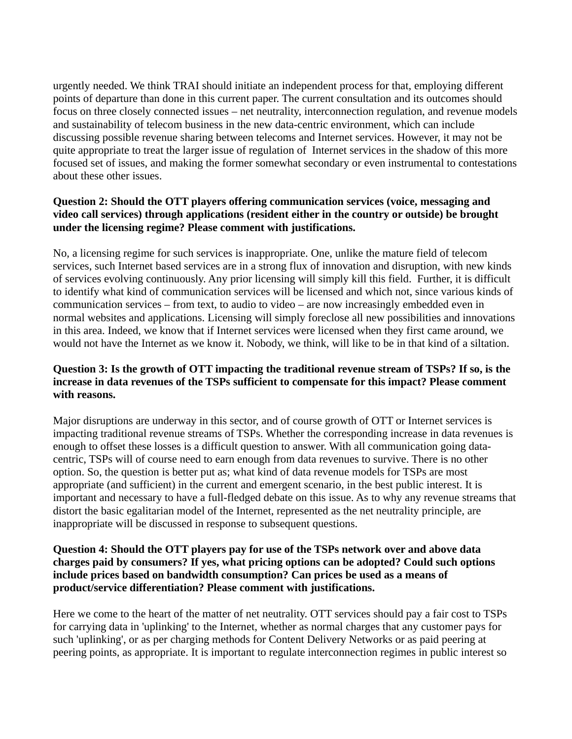urgently needed. We think TRAI should initiate an independent process for that, employing different points of departure than done in this current paper. The current consultation and its outcomes should focus on three closely connected issues – net neutrality, interconnection regulation, and revenue models and sustainability of telecom business in the new data-centric environment, which can include discussing possible revenue sharing between telecoms and Internet services. However, it may not be quite appropriate to treat the larger issue of regulation of Internet services in the shadow of this more focused set of issues, and making the former somewhat secondary or even instrumental to contestations about these other issues.

#### **Question 2: Should the OTT players offering communication services (voice, messaging and video call services) through applications (resident either in the country or outside) be brought under the licensing regime? Please comment with justifications.**

No, a licensing regime for such services is inappropriate. One, unlike the mature field of telecom services, such Internet based services are in a strong flux of innovation and disruption, with new kinds of services evolving continuously. Any prior licensing will simply kill this field. Further, it is difficult to identify what kind of communication services will be licensed and which not, since various kinds of communication services – from text, to audio to video – are now increasingly embedded even in normal websites and applications. Licensing will simply foreclose all new possibilities and innovations in this area. Indeed, we know that if Internet services were licensed when they first came around, we would not have the Internet as we know it. Nobody, we think, will like to be in that kind of a siltation.

#### **Question 3: Is the growth of OTT impacting the traditional revenue stream of TSPs? If so, is the increase in data revenues of the TSPs sufficient to compensate for this impact? Please comment with reasons.**

Major disruptions are underway in this sector, and of course growth of OTT or Internet services is impacting traditional revenue streams of TSPs. Whether the corresponding increase in data revenues is enough to offset these losses is a difficult question to answer. With all communication going datacentric, TSPs will of course need to earn enough from data revenues to survive. There is no other option. So, the question is better put as; what kind of data revenue models for TSPs are most appropriate (and sufficient) in the current and emergent scenario, in the best public interest. It is important and necessary to have a full-fledged debate on this issue. As to why any revenue streams that distort the basic egalitarian model of the Internet, represented as the net neutrality principle, are inappropriate will be discussed in response to subsequent questions.

#### **Question 4: Should the OTT players pay for use of the TSPs network over and above data charges paid by consumers? If yes, what pricing options can be adopted? Could such options include prices based on bandwidth consumption? Can prices be used as a means of product/service differentiation? Please comment with justifications.**

Here we come to the heart of the matter of net neutrality. OTT services should pay a fair cost to TSPs for carrying data in 'uplinking' to the Internet, whether as normal charges that any customer pays for such 'uplinking', or as per charging methods for Content Delivery Networks or as paid peering at peering points, as appropriate. It is important to regulate interconnection regimes in public interest so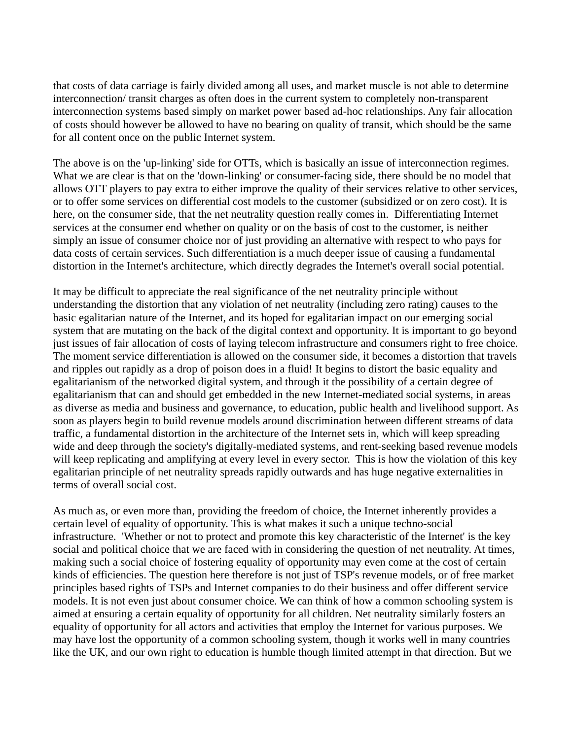that costs of data carriage is fairly divided among all uses, and market muscle is not able to determine interconnection/ transit charges as often does in the current system to completely non-transparent interconnection systems based simply on market power based ad-hoc relationships. Any fair allocation of costs should however be allowed to have no bearing on quality of transit, which should be the same for all content once on the public Internet system.

The above is on the 'up-linking' side for OTTs, which is basically an issue of interconnection regimes. What we are clear is that on the 'down-linking' or consumer-facing side, there should be no model that allows OTT players to pay extra to either improve the quality of their services relative to other services, or to offer some services on differential cost models to the customer (subsidized or on zero cost). It is here, on the consumer side, that the net neutrality question really comes in. Differentiating Internet services at the consumer end whether on quality or on the basis of cost to the customer, is neither simply an issue of consumer choice nor of just providing an alternative with respect to who pays for data costs of certain services. Such differentiation is a much deeper issue of causing a fundamental distortion in the Internet's architecture, which directly degrades the Internet's overall social potential.

It may be difficult to appreciate the real significance of the net neutrality principle without understanding the distortion that any violation of net neutrality (including zero rating) causes to the basic egalitarian nature of the Internet, and its hoped for egalitarian impact on our emerging social system that are mutating on the back of the digital context and opportunity. It is important to go beyond just issues of fair allocation of costs of laying telecom infrastructure and consumers right to free choice. The moment service differentiation is allowed on the consumer side, it becomes a distortion that travels and ripples out rapidly as a drop of poison does in a fluid! It begins to distort the basic equality and egalitarianism of the networked digital system, and through it the possibility of a certain degree of egalitarianism that can and should get embedded in the new Internet-mediated social systems, in areas as diverse as media and business and governance, to education, public health and livelihood support. As soon as players begin to build revenue models around discrimination between different streams of data traffic, a fundamental distortion in the architecture of the Internet sets in, which will keep spreading wide and deep through the society's digitally-mediated systems, and rent-seeking based revenue models will keep replicating and amplifying at every level in every sector. This is how the violation of this key egalitarian principle of net neutrality spreads rapidly outwards and has huge negative externalities in terms of overall social cost.

As much as, or even more than, providing the freedom of choice, the Internet inherently provides a certain level of equality of opportunity. This is what makes it such a unique techno-social infrastructure. 'Whether or not to protect and promote this key characteristic of the Internet' is the key social and political choice that we are faced with in considering the question of net neutrality. At times, making such a social choice of fostering equality of opportunity may even come at the cost of certain kinds of efficiencies. The question here therefore is not just of TSP's revenue models, or of free market principles based rights of TSPs and Internet companies to do their business and offer different service models. It is not even just about consumer choice. We can think of how a common schooling system is aimed at ensuring a certain equality of opportunity for all children. Net neutrality similarly fosters an equality of opportunity for all actors and activities that employ the Internet for various purposes. We may have lost the opportunity of a common schooling system, though it works well in many countries like the UK, and our own right to education is humble though limited attempt in that direction. But we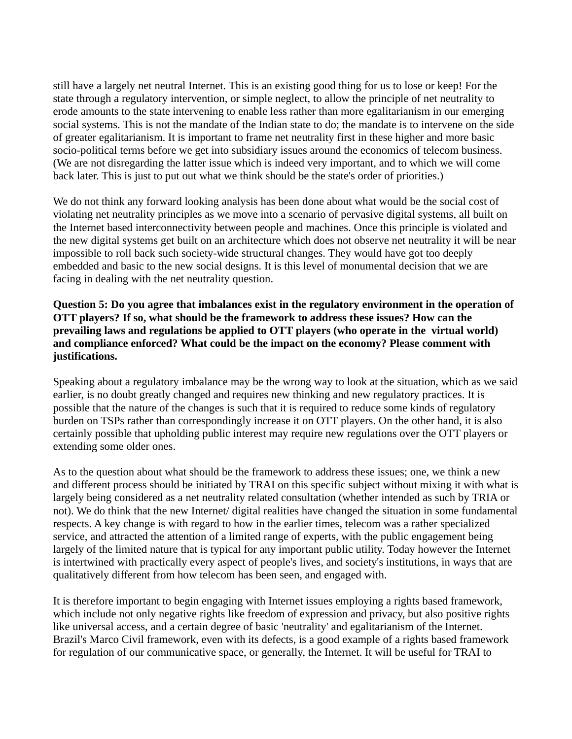still have a largely net neutral Internet. This is an existing good thing for us to lose or keep! For the state through a regulatory intervention, or simple neglect, to allow the principle of net neutrality to erode amounts to the state intervening to enable less rather than more egalitarianism in our emerging social systems. This is not the mandate of the Indian state to do; the mandate is to intervene on the side of greater egalitarianism. It is important to frame net neutrality first in these higher and more basic socio-political terms before we get into subsidiary issues around the economics of telecom business. (We are not disregarding the latter issue which is indeed very important, and to which we will come back later. This is just to put out what we think should be the state's order of priorities.)

We do not think any forward looking analysis has been done about what would be the social cost of violating net neutrality principles as we move into a scenario of pervasive digital systems, all built on the Internet based interconnectivity between people and machines. Once this principle is violated and the new digital systems get built on an architecture which does not observe net neutrality it will be near impossible to roll back such society-wide structural changes. They would have got too deeply embedded and basic to the new social designs. It is this level of monumental decision that we are facing in dealing with the net neutrality question.

#### **Question 5: Do you agree that imbalances exist in the regulatory environment in the operation of OTT players? If so, what should be the framework to address these issues? How can the prevailing laws and regulations be applied to OTT players (who operate in the virtual world) and compliance enforced? What could be the impact on the economy? Please comment with justifications.**

Speaking about a regulatory imbalance may be the wrong way to look at the situation, which as we said earlier, is no doubt greatly changed and requires new thinking and new regulatory practices. It is possible that the nature of the changes is such that it is required to reduce some kinds of regulatory burden on TSPs rather than correspondingly increase it on OTT players. On the other hand, it is also certainly possible that upholding public interest may require new regulations over the OTT players or extending some older ones.

As to the question about what should be the framework to address these issues; one, we think a new and different process should be initiated by TRAI on this specific subject without mixing it with what is largely being considered as a net neutrality related consultation (whether intended as such by TRIA or not). We do think that the new Internet/ digital realities have changed the situation in some fundamental respects. A key change is with regard to how in the earlier times, telecom was a rather specialized service, and attracted the attention of a limited range of experts, with the public engagement being largely of the limited nature that is typical for any important public utility. Today however the Internet is intertwined with practically every aspect of people's lives, and society's institutions, in ways that are qualitatively different from how telecom has been seen, and engaged with.

It is therefore important to begin engaging with Internet issues employing a rights based framework, which include not only negative rights like freedom of expression and privacy, but also positive rights like universal access, and a certain degree of basic 'neutrality' and egalitarianism of the Internet. Brazil's Marco Civil framework, even with its defects, is a good example of a rights based framework for regulation of our communicative space, or generally, the Internet. It will be useful for TRAI to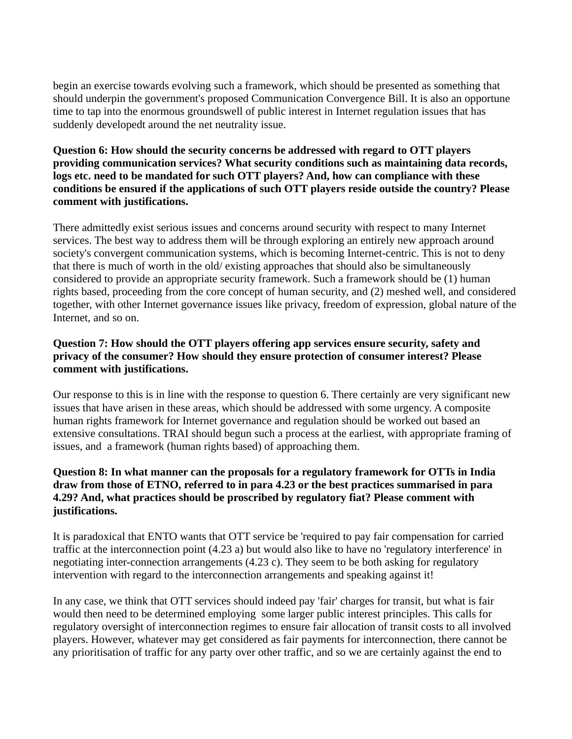begin an exercise towards evolving such a framework, which should be presented as something that should underpin the government's proposed Communication Convergence Bill. It is also an opportune time to tap into the enormous groundswell of public interest in Internet regulation issues that has suddenly developedt around the net neutrality issue.

#### **Question 6: How should the security concerns be addressed with regard to OTT players providing communication services? What security conditions such as maintaining data records, logs etc. need to be mandated for such OTT players? And, how can compliance with these conditions be ensured if the applications of such OTT players reside outside the country? Please comment with justifications.**

There admittedly exist serious issues and concerns around security with respect to many Internet services. The best way to address them will be through exploring an entirely new approach around society's convergent communication systems, which is becoming Internet-centric. This is not to deny that there is much of worth in the old/ existing approaches that should also be simultaneously considered to provide an appropriate security framework. Such a framework should be (1) human rights based, proceeding from the core concept of human security, and (2) meshed well, and considered together, with other Internet governance issues like privacy, freedom of expression, global nature of the Internet, and so on.

### **Question 7: How should the OTT players offering app services ensure security, safety and privacy of the consumer? How should they ensure protection of consumer interest? Please comment with justifications.**

Our response to this is in line with the response to question 6. There certainly are very significant new issues that have arisen in these areas, which should be addressed with some urgency. A composite human rights framework for Internet governance and regulation should be worked out based an extensive consultations. TRAI should begun such a process at the earliest, with appropriate framing of issues, and a framework (human rights based) of approaching them.

#### **Question 8: In what manner can the proposals for a regulatory framework for OTTs in India draw from those of ETNO, referred to in para 4.23 or the best practices summarised in para 4.29? And, what practices should be proscribed by regulatory fiat? Please comment with justifications.**

It is paradoxical that ENTO wants that OTT service be 'required to pay fair compensation for carried traffic at the interconnection point (4.23 a) but would also like to have no 'regulatory interference' in negotiating inter-connection arrangements (4.23 c). They seem to be both asking for regulatory intervention with regard to the interconnection arrangements and speaking against it!

In any case, we think that OTT services should indeed pay 'fair' charges for transit, but what is fair would then need to be determined employing some larger public interest principles. This calls for regulatory oversight of interconnection regimes to ensure fair allocation of transit costs to all involved players. However, whatever may get considered as fair payments for interconnection, there cannot be any prioritisation of traffic for any party over other traffic, and so we are certainly against the end to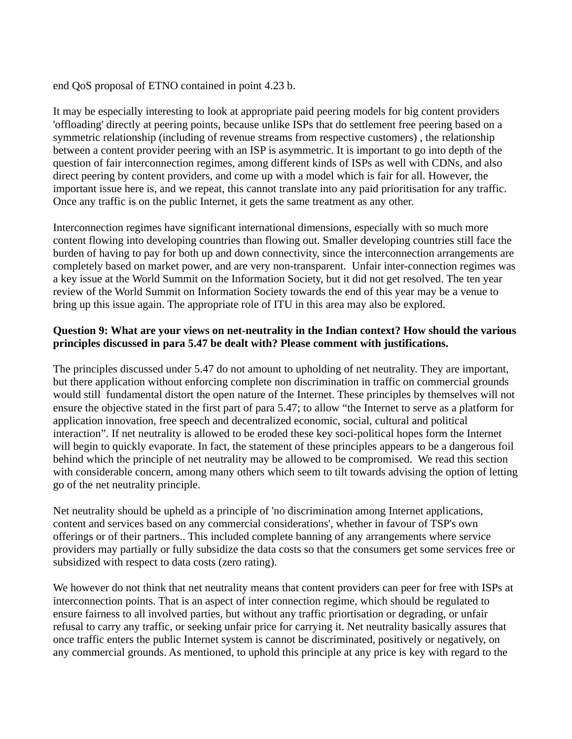end QoS proposal of ETNO contained in point 4.23 b.

It may be especially interesting to look at appropriate paid peering models for big content providers 'offloading' directly at peering points, because unlike ISPs that do settlement free peering based on a symmetric relationship (including of revenue streams from respective customers) , the relationship between a content provider peering with an ISP is asymmetric. It is important to go into depth of the question of fair interconnection regimes, among different kinds of ISPs as well with CDNs, and also direct peering by content providers, and come up with a model which is fair for all. However, the important issue here is, and we repeat, this cannot translate into any paid prioritisation for any traffic. Once any traffic is on the public Internet, it gets the same treatment as any other.

Interconnection regimes have significant international dimensions, especially with so much more content flowing into developing countries than flowing out. Smaller developing countries still face the burden of having to pay for both up and down connectivity, since the interconnection arrangements are completely based on market power, and are very non-transparent. Unfair inter-connection regimes was a key issue at the World Summit on the Information Society, but it did not get resolved. The ten year review of the World Summit on Information Society towards the end of this year may be a venue to bring up this issue again. The appropriate role of ITU in this area may also be explored.

### **Question 9: What are your views on net-neutrality in the Indian context? How should the various principles discussed in para 5.47 be dealt with? Please comment with justifications.**

The principles discussed under 5.47 do not amount to upholding of net neutrality. They are important, but there application without enforcing complete non discrimination in traffic on commercial grounds would still fundamental distort the open nature of the Internet. These principles by themselves will not ensure the objective stated in the first part of para 5.47; to allow "the Internet to serve as a platform for application innovation, free speech and decentralized economic, social, cultural and political interaction". If net neutrality is allowed to be eroded these key soci-political hopes form the Internet will begin to quickly evaporate. In fact, the statement of these principles appears to be a dangerous foil behind which the principle of net neutrality may be allowed to be compromised. We read this section with considerable concern, among many others which seem to tilt towards advising the option of letting go of the net neutrality principle.

Net neutrality should be upheld as a principle of 'no discrimination among Internet applications, content and services based on any commercial considerations', whether in favour of TSP's own offerings or of their partners.. This included complete banning of any arrangements where service providers may partially or fully subsidize the data costs so that the consumers get some services free or subsidized with respect to data costs (zero rating).

We however do not think that net neutrality means that content providers can peer for free with ISPs at interconnection points. That is an aspect of inter connection regime, which should be regulated to ensure fairness to all involved parties, but without any traffic priortisation or degrading, or unfair refusal to carry any traffic, or seeking unfair price for carrying it. Net neutrality basically assures that once traffic enters the public Internet system is cannot be discriminated, positively or negatively, on any commercial grounds. As mentioned, to uphold this principle at any price is key with regard to the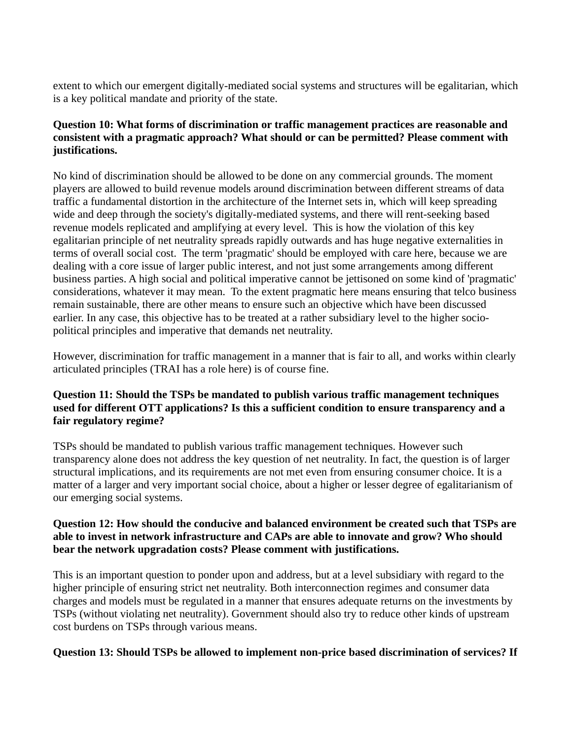extent to which our emergent digitally-mediated social systems and structures will be egalitarian, which is a key political mandate and priority of the state.

#### **Question 10: What forms of discrimination or traffic management practices are reasonable and consistent with a pragmatic approach? What should or can be permitted? Please comment with justifications.**

No kind of discrimination should be allowed to be done on any commercial grounds. The moment players are allowed to build revenue models around discrimination between different streams of data traffic a fundamental distortion in the architecture of the Internet sets in, which will keep spreading wide and deep through the society's digitally-mediated systems, and there will rent-seeking based revenue models replicated and amplifying at every level. This is how the violation of this key egalitarian principle of net neutrality spreads rapidly outwards and has huge negative externalities in terms of overall social cost. The term 'pragmatic' should be employed with care here, because we are dealing with a core issue of larger public interest, and not just some arrangements among different business parties. A high social and political imperative cannot be jettisoned on some kind of 'pragmatic' considerations, whatever it may mean. To the extent pragmatic here means ensuring that telco business remain sustainable, there are other means to ensure such an objective which have been discussed earlier. In any case, this objective has to be treated at a rather subsidiary level to the higher sociopolitical principles and imperative that demands net neutrality.

However, discrimination for traffic management in a manner that is fair to all, and works within clearly articulated principles (TRAI has a role here) is of course fine.

### **Question 11: Should the TSPs be mandated to publish various traffic management techniques used for different OTT applications? Is this a sufficient condition to ensure transparency and a fair regulatory regime?**

TSPs should be mandated to publish various traffic management techniques. However such transparency alone does not address the key question of net neutrality. In fact, the question is of larger structural implications, and its requirements are not met even from ensuring consumer choice. It is a matter of a larger and very important social choice, about a higher or lesser degree of egalitarianism of our emerging social systems.

#### **Question 12: How should the conducive and balanced environment be created such that TSPs are able to invest in network infrastructure and CAPs are able to innovate and grow? Who should bear the network upgradation costs? Please comment with justifications.**

This is an important question to ponder upon and address, but at a level subsidiary with regard to the higher principle of ensuring strict net neutrality. Both interconnection regimes and consumer data charges and models must be regulated in a manner that ensures adequate returns on the investments by TSPs (without violating net neutrality). Government should also try to reduce other kinds of upstream cost burdens on TSPs through various means.

#### **Question 13: Should TSPs be allowed to implement non-price based discrimination of services? If**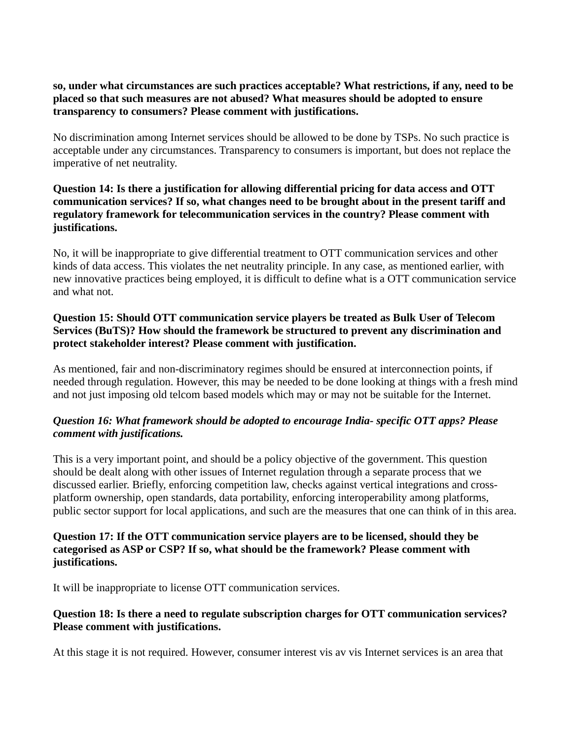#### **so, under what circumstances are such practices acceptable? What restrictions, if any, need to be placed so that such measures are not abused? What measures should be adopted to ensure transparency to consumers? Please comment with justifications.**

No discrimination among Internet services should be allowed to be done by TSPs. No such practice is acceptable under any circumstances. Transparency to consumers is important, but does not replace the imperative of net neutrality.

### **Question 14: Is there a justification for allowing differential pricing for data access and OTT communication services? If so, what changes need to be brought about in the present tariff and regulatory framework for telecommunication services in the country? Please comment with justifications.**

No, it will be inappropriate to give differential treatment to OTT communication services and other kinds of data access. This violates the net neutrality principle. In any case, as mentioned earlier, with new innovative practices being employed, it is difficult to define what is a OTT communication service and what not.

#### **Question 15: Should OTT communication service players be treated as Bulk User of Telecom Services (BuTS)? How should the framework be structured to prevent any discrimination and protect stakeholder interest? Please comment with justification.**

As mentioned, fair and non-discriminatory regimes should be ensured at interconnection points, if needed through regulation. However, this may be needed to be done looking at things with a fresh mind and not just imposing old telcom based models which may or may not be suitable for the Internet.

## *Question 16: What framework should be adopted to encourage India- specific OTT apps? Please comment with justifications.*

This is a very important point, and should be a policy objective of the government. This question should be dealt along with other issues of Internet regulation through a separate process that we discussed earlier. Briefly, enforcing competition law, checks against vertical integrations and crossplatform ownership, open standards, data portability, enforcing interoperability among platforms, public sector support for local applications, and such are the measures that one can think of in this area.

#### **Question 17: If the OTT communication service players are to be licensed, should they be categorised as ASP or CSP? If so, what should be the framework? Please comment with justifications.**

It will be inappropriate to license OTT communication services.

#### **Question 18: Is there a need to regulate subscription charges for OTT communication services? Please comment with justifications.**

At this stage it is not required. However, consumer interest vis av vis Internet services is an area that